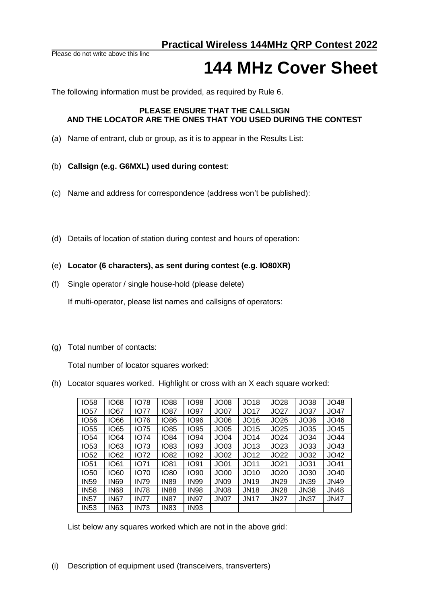Please do not write above this line

## **144 MHz Cover Sheet**

The following information must be provided, as required by Rule 6.

## **PLEASE ENSURE THAT THE CALLSIGN AND THE LOCATOR ARE THE ONES THAT YOU USED DURING THE CONTEST**

- (a) Name of entrant, club or group, as it is to appear in the Results List:
- (b) **Callsign (e.g. G6MXL) used during contest**:
- (c) Name and address for correspondence (address won't be published):
- (d) Details of location of station during contest and hours of operation:

## (e) **Locator (6 characters), as sent during contest (e.g. IO80XR)**

(f) Single operator / single house-hold (please delete)

If multi-operator, please list names and callsigns of operators:

(g) Total number of contacts:

Total number of locator squares worked:

(h) Locator squares worked. Highlight or cross with an X each square worked:

| <b>IO58</b> | <b>IO68</b> | <b>IO78</b> | <b>IO88</b> | <b>IO98</b> | JO08              | <b>JO18</b>      | <b>JO28</b>      | <b>JO38</b> | JO48        |
|-------------|-------------|-------------|-------------|-------------|-------------------|------------------|------------------|-------------|-------------|
| <b>IO57</b> | <b>IO67</b> | <b>IO77</b> | <b>IO87</b> | IO97        | JO <sub>07</sub>  | JO17             | JO27             | JO37        | JO47        |
| IO56        | <b>1066</b> | <b>IO76</b> | <b>1086</b> | IO96        | JO <sub>06</sub>  | JO16             | JO26             | JO36        | JO46        |
| <b>IO55</b> | <b>IO65</b> | <b>IO75</b> | <b>IO85</b> | IO95        | JO <sub>05</sub>  | JO15             | JO25             | JO35        | JO45        |
| <b>IO54</b> | <b>IO64</b> | <b>IO74</b> | <b>IO84</b> | IO94        | <b>JO04</b>       | JO14             | JO24             | JO34        | JO44        |
| <b>IO53</b> | IO63        | <b>IO73</b> | <b>IO83</b> | IO93        | JO <sub>03</sub>  | JO <sub>13</sub> | JO23             | JO33        | JO43        |
| <b>IO52</b> | IO62        | <b>IO72</b> | <b>IO82</b> | IO92        | JO <sub>02</sub>  | JO12             | JO22             | JO32        | JO42        |
| <b>IO51</b> | <b>IO61</b> | 1071        | <b>IO81</b> | IO91        | JO <sub>01</sub>  | JO11             | JO21             | JO31        | JO41        |
| <b>IO50</b> | <b>IO60</b> | <b>IO70</b> | <b>IO80</b> | IO90        | JO <sub>00</sub>  | JO10             | JO <sub>20</sub> | JO30        | JO40        |
| <b>IN59</b> | <b>IN69</b> | <b>IN79</b> | <b>IN89</b> | <b>IN99</b> | <b>JN09</b>       | <b>JN19</b>      | <b>JN29</b>      | <b>JN39</b> | <b>JN49</b> |
| <b>IN58</b> | <b>IN68</b> | <b>IN78</b> | <b>IN88</b> | <b>IN98</b> | <b>JN08</b>       | <b>JN18</b>      | <b>JN28</b>      | <b>JN38</b> | <b>JN48</b> |
| <b>IN57</b> | <b>IN67</b> | <b>IN77</b> | <b>IN87</b> | <b>IN97</b> | JN <sub>0</sub> 7 | <b>JN17</b>      | <b>JN27</b>      | <b>JN37</b> | <b>JN47</b> |
| <b>IN53</b> | <b>IN63</b> | <b>IN73</b> | <b>IN83</b> | IN93        |                   |                  |                  |             |             |

List below any squares worked which are not in the above grid: